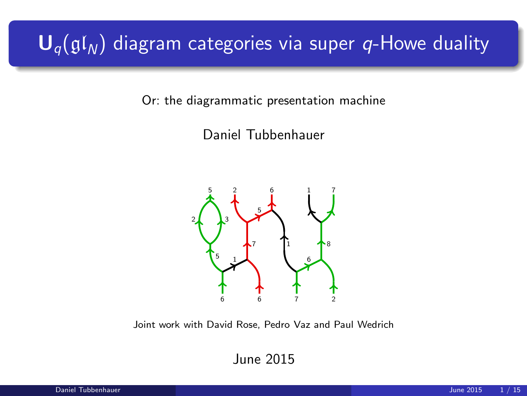# $\mathbf{U}_q(\mathfrak{gl}_N)$  diagram categories via super q-Howe duality

Or: the diagrammatic presentation machine

Daniel Tubbenhauer



Joint work with David Rose, Pedro Vaz and Paul Wedrich

June 2015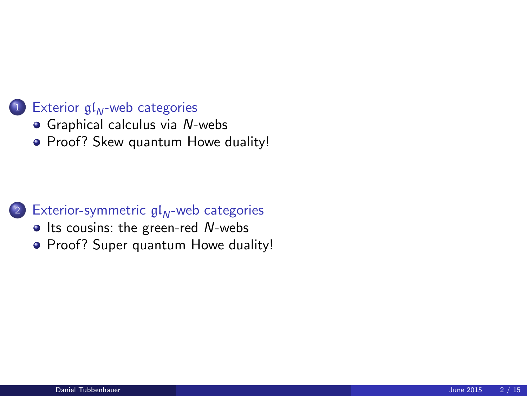#### $(1)$  Exterior  $\mathfrak{gl}_N$ [-web categories](#page-2-0)

- **•** [Graphical calculus via](#page-3-0) N-webs
- [Proof? Skew quantum Howe duality!](#page-6-0)

#### 2 [Exterior-symmetric](#page-8-0)  $gl_{N}$ -web categories

- $\bullet$  [Its cousins: the green-red](#page-8-0) N-webs
- [Proof? Super quantum Howe duality!](#page-11-0)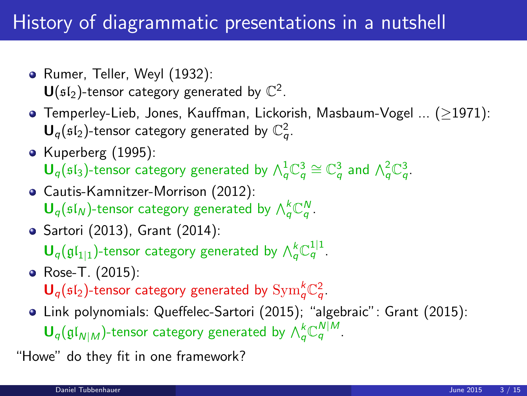## History of diagrammatic presentations in a nutshell

- Rumer, Teller, Weyl (1932):  $\mathsf{U}(\mathfrak{sl}_2)$ -tensor category generated by  $\mathbb{C}^2$ .
- Temperley-Lieb, Jones, Kauffman, Lickorish, Masbaum-Vogel ... (≥1971):  $\mathbf{U}_q(\mathfrak{sl}_2)$ -tensor category generated by  $\mathbb{C}_q^2$ .
- Kuperberg (1995):  $$
- Cautis-Kamnitzer-Morrison (2012):  $\mathbf{U}_q(\mathfrak{sl}_N)$ -tensor category generated by  $\bigwedge_q^k \mathbb{C}_q^N$ .
- Sartori (2013), Grant (2014):

 $\mathbf{U}_q(\mathfrak{gl}_{1|1})$ -tensor category generated by  $\bigwedge^k_q \mathbb{C}^{1|1}_q$ .

- Rose-T. (2015):  $\mathbf{U}_q(\mathfrak{sl}_2)$ -tensor category generated by  $\mathrm{Sym}^k_q\mathbb{C}^2_q$ .
- <span id="page-2-0"></span>Link polynomials: Queffelec-Sartori (2015); "algebraic": Grant (2015):  $\mathbf{U}_q(\mathfrak{gl}_{N|M})$ -tensor category generated by  $\bigwedge_q^k \mathbb{C}_q^{N|M}$ .

"Howe" do they fit in one framework?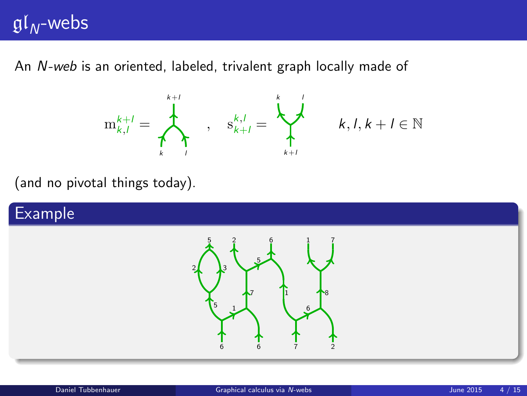# $gl_{N}$ -webs

An N-web is an oriented, labeled, trivalent graph locally made of



<span id="page-3-0"></span> $k, l, k+l \in \mathbb{N}$ 

(and no pivotal things today).

#### Example

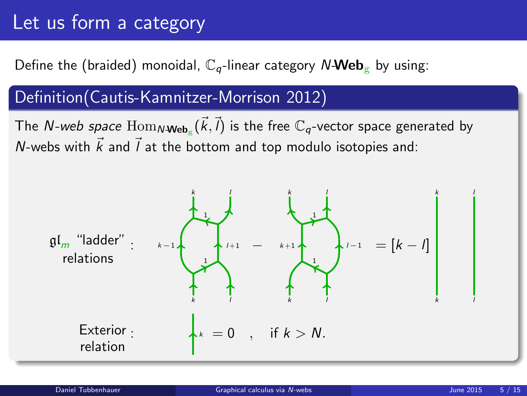# Let us form a category

### Define the (braided) monoidal,  $\mathbb{C}_q$ -linear category N-Web<sub>g</sub> by using:

### Definition(Cautis-Kamnitzer-Morrison 2012)

The *N-web space*  $\operatorname{Hom}_{N\textbf{-Web}_g}(\vec{k},\vec{l})$  is the free  $\mathbb{C}_q$ -vector space generated by N-webs with  $\vec{k}$  and  $\vec{l}$  at the bottom and top modulo isotopies and:

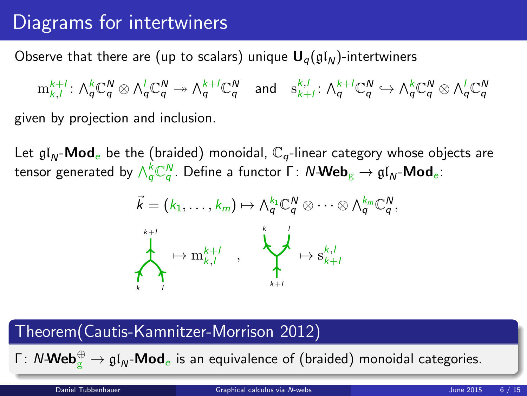# Diagrams for intertwiners

Observe that there are (up to scalars) unique  $U_{q}(\mathfrak{gl}_N)$ -intertwiners

 $\mathrm{m}^{k+l}_{k,l} \colon \bigwedge^k_q \mathbb{C}^N_q \otimes \bigwedge^l_q \mathbb{C}^N_q \twoheadrightarrow \bigwedge^{k+l}_q \mathbb{C}^N_q \quad \text{and} \quad \mathrm{s}^{k,l}_{k+l} \colon \bigwedge^{k+l}_q \mathbb{C}^N_q \hookrightarrow \bigwedge^k_q \mathbb{C}^N_q \otimes \bigwedge^l_q \mathbb{C}^N_q$ given by projection and inclusion.

Let  $\mathfrak{gl}_N$ -**Mod**e be the (braided) monoidal,  $\mathbb{C}_q$ -linear category whose objects are tensor generated by  $\wedge_Q^k\mathbb{C}_q^N.$  Define a functor  $\mathsf{\Gamma}\colon N\text{-}\mathsf{Web}_{\mathrm{g}} \to \mathfrak{gl}_N\text{-}\mathsf{Mod}_e$ :



#### Theorem(Cautis-Kamnitzer-Morrison 2012)

Γ: N-**Web** $_{\rm g}^{\oplus} \to {\mathfrak{gl}}_{\sf N}$ -**Mod** $_{\rm e}$  is an equivalence of (braided) monoidal categories.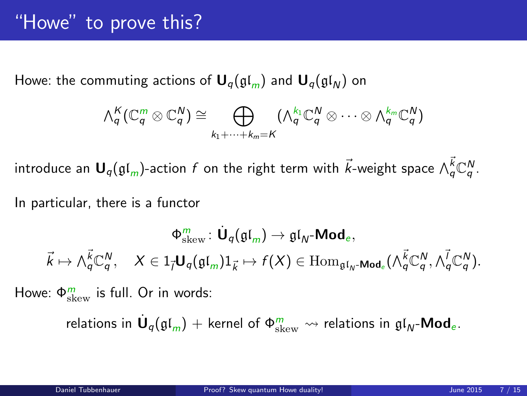Howe: the commuting actions of  $U_q(\mathfrak{gl}_m)$  and  $U_q(\mathfrak{gl}_N)$  on

$$
\wedge_q^K(\mathbb{C}_q^m \otimes \mathbb{C}_q^N) \cong \bigoplus_{k_1+\cdots+k_m=K} (\wedge_q^{k_1} \mathbb{C}_q^N \otimes \cdots \otimes \wedge_q^{k_m} \mathbb{C}_q^N)
$$

introduce an  $\bm{\mathsf{U}}_q(\mathfrak{gl}_m)$ -action  $f$  on the right term with  $\vec{k}$ -weight space  $\wedge^{\vec{k}}_q \mathbb{C}^N_q$ .

In particular, there is a functor

$$
\begin{array}{cccc}\Phi_{\mathrm{skew}}^m\colon \dot{\mathbf U}_q(\mathfrak{gl}_m)\to \mathfrak{gl}_N\text{-}\mathrm{Mod}_e,\\ \vec k\mapsto \wedge^{\vec k}_q\mathbb{C}^N_q, & X\in 1_{\vec l}\mathbf U_q(\mathfrak{gl}_m)1_{\vec k}\mapsto f(X)\in \mathrm{Hom}_{\mathfrak{gl}_N\text{-}\mathrm{Mod}_e}(\wedge^{\vec k}_q\mathbb{C}^N_q,\wedge^{\vec l}_q\mathbb{C}^N_q).\end{array}
$$

Howe:  $\Phi_{\text{skew}}^{m}$  is full. Or in words:

<span id="page-6-0"></span>relations in  $\dot{\mathsf{U}}_q(\mathfrak{gl}_m)+$  kernel of  $\Phi^m_\mathrm{skew}\leadsto$  relations in  $\mathfrak{gl}_N\text{-}\mathsf{Mod}_e.$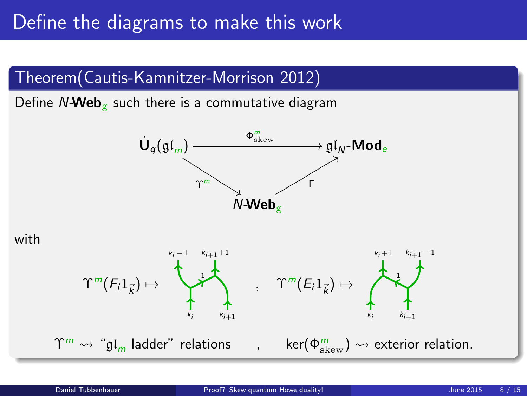### Define the diagrams to make this work



Define  $N\text{-}\text{Web}_{\mathcal{C}}$  such there is a commutative diagram





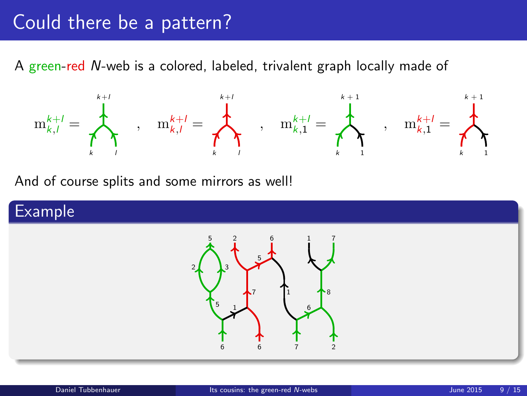### Could there be a pattern?

A green-red N-web is a colored, labeled, trivalent graph locally made of



And of course splits and some mirrors as well!

#### Example

<span id="page-8-0"></span>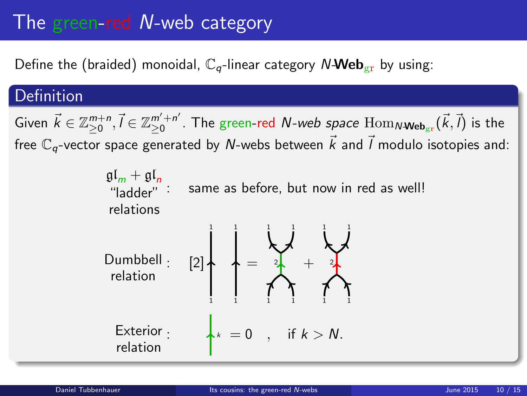# The green-red N-web category

Define the (braided) monoidal,  $\mathbb{C}_q$ -linear category N-Web<sub>gr</sub> by using:

### Definition

Given  $\vec{k} \in \mathbb{Z}_{\geq 0}^{m+n}, \vec{l} \in \mathbb{Z}_{\geq 0}^{m'+n'}$  $_{\geq0}^{m'+n'}$ . The green-red  $N$ -web space  $\mathrm{Hom}_{N\textbf{-Web}_{\mathrm{gr}}}(\vec{k},\vec{l})$  is the free  $\mathbb{C}_q$ -vector space generated by N-webs between  $\vec{k}$  and  $\vec{l}$  modulo isotopies and:

> $\mathfrak{gl}_m + \mathfrak{gl}_n$ "ladder" relations same as before, but now in red as well!

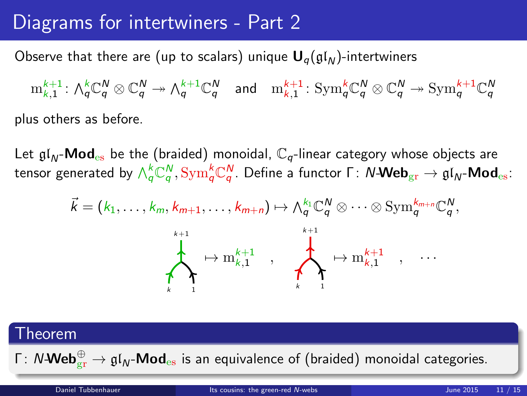### Diagrams for intertwiners - Part 2

Observe that there are (up to scalars) unique  $U_q(gI_N)$ -intertwiners

 $\mathrm{m}^{k+1}_{k,1}: \, \textstyle \bigwedge^{k}_\mathsf{q} \mathbb{C}^{\mathsf{N}}_\mathsf{q} \twoheadrightarrow \textstyle \bigwedge^{k+1}_\mathsf{q} \mathbb{C}^{\mathsf{N}}_\mathsf{q} \quad \text{and} \quad \mathrm{m}^{k+1}_{k,1}: \, \text{Sym}^{k}_\mathsf{q} \mathbb{C}^{\mathsf{N}}_\mathsf{q} \otimes \mathbb{C}^{\mathsf{N}}_\mathsf{q} \twoheadrightarrow \text{Sym}^{k+1}_\mathsf{q} \mathbb{C}^{\mathsf{N}}_\mathsf{q}$ plus others as before.

Let  $\mathfrak{gl}_N$ -**Mod**<sub>es</sub> be the (braided) monoidal,  $\mathbb{C}_q$ -linear category whose objects are tensor generated by  $\wedge_q^k$ C $_q^N$ ,  $\mathrm{Sym}_q^k$ C $_q^N$ . Define a functor Γ:  $N$ -Web $_{\mathrm{gr}}\to \mathfrak{gl}_N$ -Mod $_{\mathrm{es}}$ :

$$
\vec{k} = (k_1, \ldots, k_m, k_{m+1}, \ldots, k_{m+n}) \mapsto \wedge_q^{k_1} \mathbb{C}_q^N \otimes \cdots \otimes \mathrm{Sym}_q^{k_{m+n}} \mathbb{C}_q^N,
$$
\n
$$
\downarrow \qquad \qquad \downarrow \qquad \qquad \downarrow \qquad \qquad \downarrow \qquad \downarrow \qquad \downarrow \qquad \downarrow \qquad \downarrow \qquad \downarrow \qquad \downarrow \qquad \downarrow \qquad \downarrow \qquad \downarrow \qquad \downarrow \qquad \downarrow \qquad \downarrow \qquad \downarrow \qquad \downarrow \qquad \downarrow \qquad \downarrow \qquad \downarrow \qquad \downarrow \qquad \downarrow \qquad \downarrow \qquad \downarrow \qquad \downarrow \qquad \downarrow \qquad \downarrow \qquad \downarrow \qquad \downarrow \qquad \downarrow \qquad \downarrow \qquad \downarrow \qquad \downarrow \qquad \downarrow \qquad \downarrow \qquad \downarrow \qquad \downarrow \qquad \downarrow \qquad \downarrow \qquad \downarrow \qquad \downarrow \qquad \downarrow \qquad \downarrow \qquad \downarrow \qquad \downarrow \qquad \downarrow \qquad \downarrow \qquad \downarrow \qquad \downarrow \qquad \downarrow \qquad \downarrow \qquad \downarrow \qquad \downarrow \qquad \downarrow \qquad \downarrow \qquad \downarrow \qquad \downarrow \qquad \downarrow \qquad \downarrow \qquad \downarrow \qquad \downarrow \qquad \downarrow \qquad \downarrow \qquad \downarrow \qquad \downarrow \qquad \downarrow \qquad \downarrow \qquad \downarrow \qquad \downarrow \qquad \downarrow \qquad \downarrow \qquad \downarrow \qquad \downarrow \qquad \downarrow \qquad \downarrow \qquad \downarrow \qquad \downarrow \qquad \downarrow \qquad \downarrow \qquad \downarrow \qquad \downarrow \qquad \downarrow \qquad \downarrow \qquad \downarrow \qquad \downarrow \qquad \downarrow \qquad \downarrow \qquad \downarrow \qquad \downarrow \qquad \downarrow \qquad \downarrow \qquad \downarrow \qquad \downarrow \qquad \downarrow \qquad \downarrow \qquad \downarrow \qquad \downarrow \qquad \downarrow \qquad \downarrow \qquad \downarrow \qquad \downarrow \qquad \downarrow \qquad \downarrow \qquad \downarrow \qquad \downarrow \qquad \downarrow \qquad \downarrow \qquad \downarrow \qquad \downarrow \q
$$

# Theorem Γ:  $N$ - $\mathsf{Web}_{\mathrm{gr}}^{\oplus} \to \mathfrak{gl}_N\text{-}\mathsf{Mod}_{\mathrm{es}}$  is an equivalence of (braided) monoidal categories. Daniel Tubbenhauer **[Its cousins: the green-red](#page-8-0) N-webs** June 2015 11 / 15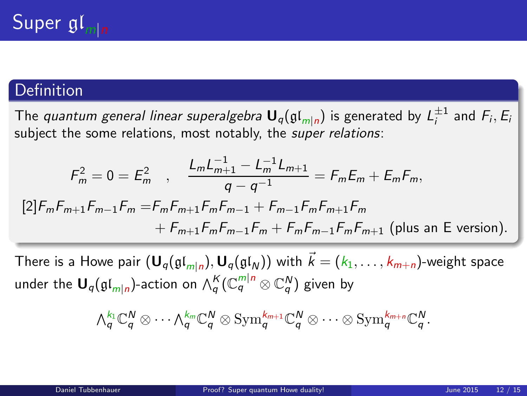### Definition

The *quantum general linear superalgebra*  ${\sf U}_q(\mathfrak{gl}_{m|n})$  is generated by  $L_i^{\pm 1}$  and  $F_i, E_i$ subiect the some relations, most notably, the super relations:

$$
F_m^2 = 0 = E_m^2 \quad , \quad \frac{L_m L_{m+1}^{-1} - L_m^{-1} L_{m+1}}{q - q^{-1}} = F_m E_m + E_m F_m,
$$
  
\n[2]  $F_m F_{m+1} F_{m-1} F_m = F_m F_{m+1} F_m F_{m-1} + F_{m-1} F_m F_{m+1} F_m$   
\n $+ F_{m+1} F_m F_{m-1} F_m + F_m F_{m-1} F_m F_{m+1}$  (plus an E version).

There is a Howe pair  $({\bf U}_q(\mathfrak{gl}_{m|n}), {\bf U}_q(\mathfrak{gl}_N))$  with  $\vec{k} = (k_1, \ldots, k_{m+n})$ -weight space under the  $\mathsf{U}_q(\mathfrak{gl}_{m|n})$ -action on  $\wedge_q^K(\mathbb{C}_q^{m|n} \otimes \mathbb{C}_q^N)$  given by

<span id="page-11-0"></span>
$$
\textstyle{\textstyle\bigwedge}^{k_1}_{q}\mathbb{C}^N_{q}\otimes\cdots\textstyle\bigwedge^{k_m}_{q}\mathbb{C}^N_{q}\otimes\text{Sym}^{k_{m+1}}_{q}\mathbb{C}^N_{q}\otimes\cdots\otimes\text{Sym}^{k_{m+n}}_{q}\mathbb{C}^N_{q}.
$$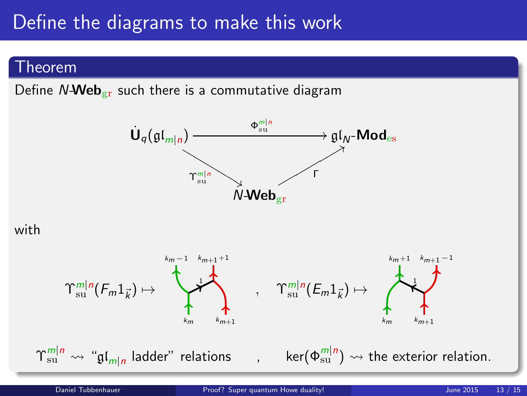## Define the diagrams to make this work

#### Theorem

Define  $N$ -Web<sub>gr</sub> such there is a commutative diagram



#### with

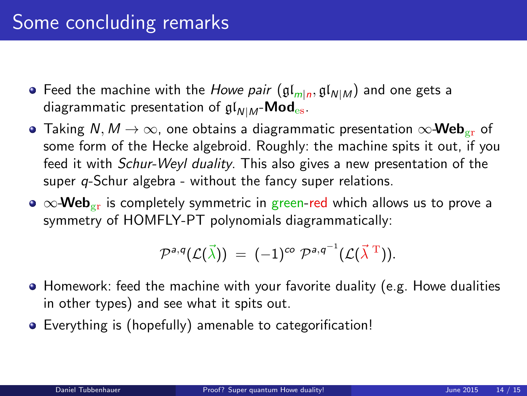- Feed the machine with the *Howe pair*  $(\mathfrak{gl}_{m|n},\mathfrak{gl}_{N|M})$  and one gets a diagrammatic presentation of  $\mathfrak{gl}_{N|M}$ -Mod<sub>es</sub>.
- Taking N,  $M \rightarrow \infty$ , one obtains a diagrammatic presentation  $\infty$ -Web<sub>er</sub> of some form of the Hecke algebroid. Roughly: the machine spits it out, if you feed it with Schur-Weyl duality. This also gives a new presentation of the super *q*-Schur algebra - without the fancy super relations.
- $\bullet \infty$ -Web<sub>er</sub> is completely symmetric in green-red which allows us to prove a symmetry of HOMFLY-PT polynomials diagrammatically:

$$
\mathcal{P}^{a,q}(\mathcal{L}(\vec{\lambda})) = (-1)^{co} \mathcal{P}^{a,q^{-1}}(\mathcal{L}(\vec{\lambda}^T)).
$$

- Homework: feed the machine with your favorite duality (e.g. Howe dualities in other types) and see what it spits out.
- Everything is (hopefully) amenable to categorification!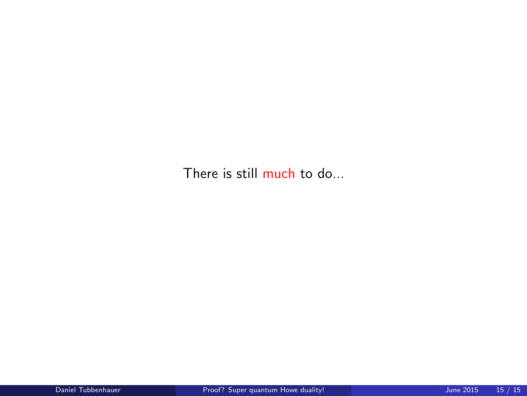There is still much to do...